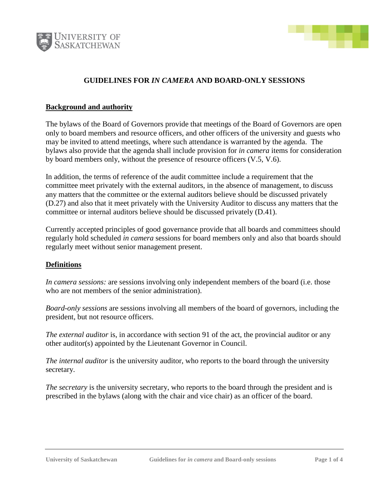



# **GUIDELINES FOR** *IN CAMERA* **AND BOARD-ONLY SESSIONS**

#### **Background and authority**

The bylaws of the Board of Governors provide that meetings of the Board of Governors are open only to board members and resource officers, and other officers of the university and guests who may be invited to attend meetings, where such attendance is warranted by the agenda. The bylaws also provide that the agenda shall include provision for *in camera* items for consideration by board members only, without the presence of resource officers (V.5, V.6).

In addition, the terms of reference of the audit committee include a requirement that the committee meet privately with the external auditors, in the absence of management, to discuss any matters that the committee or the external auditors believe should be discussed privately (D.27) and also that it meet privately with the University Auditor to discuss any matters that the committee or internal auditors believe should be discussed privately (D.41).

Currently accepted principles of good governance provide that all boards and committees should regularly hold scheduled *in camera* sessions for board members only and also that boards should regularly meet without senior management present.

#### **Definitions**

*In camera sessions:* are sessions involving only independent members of the board (i.e. those who are not members of the senior administration).

*Board-only sessions* are sessions involving all members of the board of governors, including the president, but not resource officers.

*The external auditor* is, in accordance with section 91 of the act, the provincial auditor or any other auditor(s) appointed by the Lieutenant Governor in Council.

*The internal auditor* is the university auditor, who reports to the board through the university secretary.

*The secretary* is the university secretary, who reports to the board through the president and is prescribed in the bylaws (along with the chair and vice chair) as an officer of the board.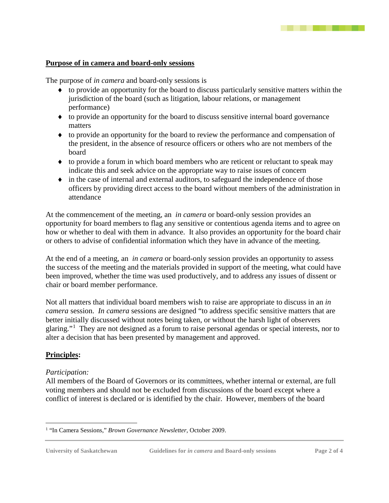# **Purpose of in camera and board-only sessions**

The purpose of *in camera* and board-only sessions is

- ♦ to provide an opportunity for the board to discuss particularly sensitive matters within the jurisdiction of the board (such as litigation, labour relations, or management performance)
- ♦ to provide an opportunity for the board to discuss sensitive internal board governance matters
- ♦ to provide an opportunity for the board to review the performance and compensation of the president, in the absence of resource officers or others who are not members of the board
- ♦ to provide a forum in which board members who are reticent or reluctant to speak may indicate this and seek advice on the appropriate way to raise issues of concern
- ♦ in the case of internal and external auditors, to safeguard the independence of those officers by providing direct access to the board without members of the administration in attendance

At the commencement of the meeting, an *in camera* or board-only session provides an opportunity for board members to flag any sensitive or contentious agenda items and to agree on how or whether to deal with them in advance. It also provides an opportunity for the board chair or others to advise of confidential information which they have in advance of the meeting.

At the end of a meeting, an *in camera* or board-only session provides an opportunity to assess the success of the meeting and the materials provided in support of the meeting, what could have been improved, whether the time was used productively, and to address any issues of dissent or chair or board member performance.

Not all matters that individual board members wish to raise are appropriate to discuss in an *in camera* session. *In camera* sessions are designed "to address specific sensitive matters that are better initially discussed without notes being taken, or without the harsh light of observers glaring."<sup>[1](#page-1-0)</sup> They are not designed as a forum to raise personal agendas or special interests, nor to alter a decision that has been presented by management and approved.

# **Principles:**

#### *Participation:*

All members of the Board of Governors or its committees, whether internal or external, are full voting members and should not be excluded from discussions of the board except where a conflict of interest is declared or is identified by the chair. However, members of the board

<span id="page-1-0"></span> <sup>1</sup> "In Camera Sessions," *Brown Governance Newsletter*, October 2009.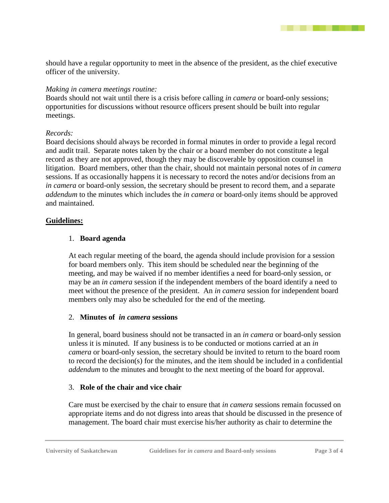. . . . . .

should have a regular opportunity to meet in the absence of the president, as the chief executive officer of the university.

#### *Making in camera meetings routine:*

Boards should not wait until there is a crisis before calling *in camera* or board-only sessions; opportunities for discussions without resource officers present should be built into regular meetings.

#### *Records:*

Board decisions should always be recorded in formal minutes in order to provide a legal record and audit trail. Separate notes taken by the chair or a board member do not constitute a legal record as they are not approved, though they may be discoverable by opposition counsel in litigation. Board members, other than the chair, should not maintain personal notes of *in camera* sessions. If as occasionally happens it is necessary to record the notes and/or decisions from an *in camera* or board-only session, the secretary should be present to record them, and a separate *addendum* to the minutes which includes the *in camera* or board-only items should be approved and maintained.

#### **Guidelines:**

#### 1. **Board agenda**

At each regular meeting of the board, the agenda should include provision for a session for board members only. This item should be scheduled near the beginning of the meeting, and may be waived if no member identifies a need for board-only session, or may be an *in camera* session if the independent members of the board identify a need to meet without the presence of the president. An *in camera* session for independent board members only may also be scheduled for the end of the meeting.

# 2. **Minutes of** *in camera* **sessions**

In general, board business should not be transacted in an *in camera* or board-only session unless it is minuted. If any business is to be conducted or motions carried at an *in camera* or board-only session, the secretary should be invited to return to the board room to record the decision(s) for the minutes, and the item should be included in a confidential *addendum* to the minutes and brought to the next meeting of the board for approval.

# 3. **Role of the chair and vice chair**

Care must be exercised by the chair to ensure that *in camera* sessions remain focussed on appropriate items and do not digress into areas that should be discussed in the presence of management. The board chair must exercise his/her authority as chair to determine the